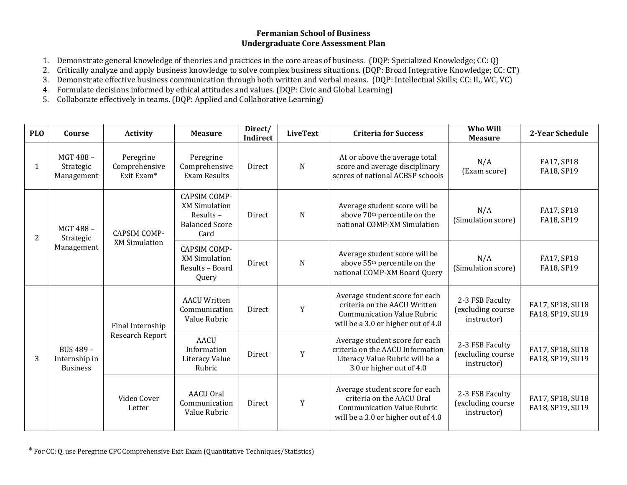# **Fermanian School of Business Undergraduate Core Assessment Plan**

- 1. Demonstrate general knowledge of theories and practices in the core areas of business. (DQP: Specialized Knowledge; CC: Q)
- 2. Critically analyze and apply business knowledge to solve complex business situations. (DQP: Broad Integrative Knowledge; CC: CT)
- 3. Demonstrate effective business communication through both written and verbal means. (DQP: Intellectual Skills; CC: IL, WC, VC)
- 4. Formulate decisions informed by ethical attitudes and values. (DQP: Civic and Global Learning)
- 5. Collaborate effectively in teams. (DQP: Applied and Collaborative Learning)

| <b>PLO</b> | Course                                        | <b>Activity</b>                             | <b>Measure</b>                                                                           | Direct/<br><b>Indirect</b> | <b>LiveText</b> | <b>Criteria for Success</b>                                                                                                               | Who Will<br><b>Measure</b>                          | 2-Year Schedule                      |
|------------|-----------------------------------------------|---------------------------------------------|------------------------------------------------------------------------------------------|----------------------------|-----------------|-------------------------------------------------------------------------------------------------------------------------------------------|-----------------------------------------------------|--------------------------------------|
| 1          | MGT 488-<br>Strategic<br>Management           | Peregrine<br>Comprehensive<br>Exit Exam*    | Peregrine<br>Comprehensive<br><b>Exam Results</b>                                        | Direct                     | N               | At or above the average total<br>score and average disciplinary<br>scores of national ACBSP schools                                       | N/A<br>(Exam score)                                 | FA17, SP18<br>FA18, SP19             |
| 2          | MGT 488-<br>Strategic<br>Management           | <b>CAPSIM COMP-</b><br><b>XM Simulation</b> | <b>CAPSIM COMP-</b><br><b>XM Simulation</b><br>Results-<br><b>Balanced Score</b><br>Card | Direct                     | N               | Average student score will be<br>above 70 <sup>th</sup> percentile on the<br>national COMP-XM Simulation                                  | N/A<br>(Simulation score)                           | FA17, SP18<br>FA18, SP19             |
|            |                                               |                                             | <b>CAPSIM COMP-</b><br><b>XM Simulation</b><br>Results - Board<br>Query                  | Direct                     | ${\bf N}$       | Average student score will be<br>above 55 <sup>th</sup> percentile on the<br>national COMP-XM Board Query                                 | N/A<br>(Simulation score)                           | FA17, SP18<br>FA18, SP19             |
|            | BUS 489 -<br>Internship in<br><b>Business</b> | Final Internship<br>Research Report         | <b>AACU Written</b><br>Communication<br>Value Rubric                                     | Direct                     | Y               | Average student score for each<br>criteria on the AACU Written<br><b>Communication Value Rubric</b><br>will be a 3.0 or higher out of 4.0 | 2-3 FSB Faculty<br>(excluding course<br>instructor) | FA17, SP18, SU18<br>FA18, SP19, SU19 |
| 3          |                                               |                                             | <b>AACU</b><br>Information<br>Literacy Value<br>Rubric                                   | Direct                     | Y               | Average student score for each<br>criteria on the AACU Information<br>Literacy Value Rubric will be a<br>3.0 or higher out of 4.0         | 2-3 FSB Faculty<br>(excluding course<br>instructor) | FA17, SP18, SU18<br>FA18, SP19, SU19 |
|            |                                               | Video Cover<br>Letter                       | <b>AACU Oral</b><br>Communication<br>Value Rubric                                        | Direct                     | $\mathbf Y$     | Average student score for each<br>criteria on the AACU Oral<br><b>Communication Value Rubric</b><br>will be a 3.0 or higher out of 4.0    | 2-3 FSB Faculty<br>(excluding course<br>instructor) | FA17, SP18, SU18<br>FA18, SP19, SU19 |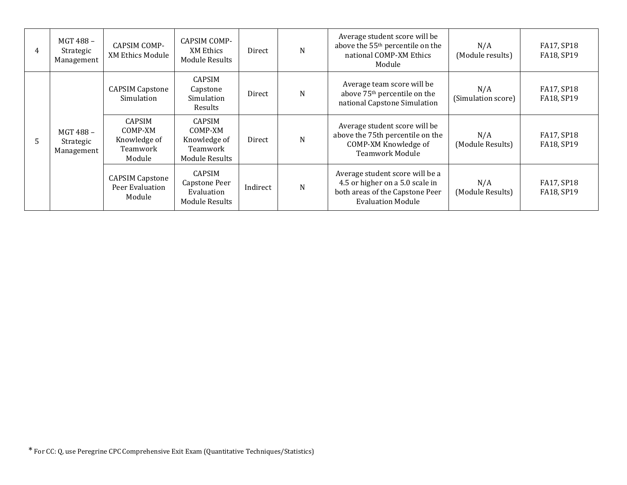| 4 | MGT 488-<br>Strategic<br>Management | <b>CAPSIM COMP-</b><br><b>XM Ethics Module</b>                 | CAPSIM COMP-<br>XM Ethics<br>Module Results                                   | Direct   | N | Average student score will be<br>above the 55 <sup>th</sup> percentile on the<br>national COMP-XM Ethics<br>Module                | N/A<br>(Module results)   | FA17, SP18<br>FA18, SP19 |
|---|-------------------------------------|----------------------------------------------------------------|-------------------------------------------------------------------------------|----------|---|-----------------------------------------------------------------------------------------------------------------------------------|---------------------------|--------------------------|
| 5 | MGT 488-<br>Strategic<br>Management | <b>CAPSIM Capstone</b><br>Simulation                           | CAPSIM<br>Capstone<br>Simulation<br>Results                                   | Direct   | N | Average team score will be<br>above 75 <sup>th</sup> percentile on the<br>national Capstone Simulation                            | N/A<br>(Simulation score) | FA17, SP18<br>FA18, SP19 |
|   |                                     | <b>CAPSIM</b><br>COMP-XM<br>Knowledge of<br>Teamwork<br>Module | <b>CAPSIM</b><br>COMP-XM<br>Knowledge of<br>Teamwork<br><b>Module Results</b> | Direct   | N | Average student score will be<br>above the 75th percentile on the<br>COMP-XM Knowledge of<br><b>Teamwork Module</b>               | N/A<br>(Module Results)   | FA17, SP18<br>FA18, SP19 |
|   |                                     | <b>CAPSIM Capstone</b><br>Peer Evaluation<br>Module            | <b>CAPSIM</b><br>Capstone Peer<br>Evaluation<br><b>Module Results</b>         | Indirect | N | Average student score will be a<br>4.5 or higher on a 5.0 scale in<br>both areas of the Capstone Peer<br><b>Evaluation Module</b> | N/A<br>(Module Results)   | FA17, SP18<br>FA18, SP19 |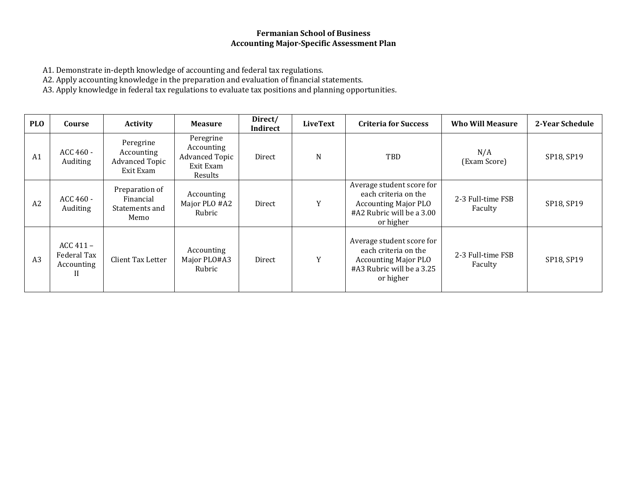## **Fermanian School of Business Accounting Major-Specific Assessment Plan**

A1. Demonstrate in-depth knowledge of accounting and federal tax regulations.

A2. Apply accounting knowledge in the preparation and evaluation of financial statements.

A3. Apply knowledge in federal tax regulations to evaluate tax positions and planning opportunities.

| <b>PLO</b>     | Course                                        | <b>Activity</b>                                               | <b>Measure</b>                                                           | Direct/<br>Indirect | <b>LiveText</b> | <b>Criteria for Success</b>                                                                                                | <b>Who Will Measure</b>      | 2-Year Schedule |
|----------------|-----------------------------------------------|---------------------------------------------------------------|--------------------------------------------------------------------------|---------------------|-----------------|----------------------------------------------------------------------------------------------------------------------------|------------------------------|-----------------|
| A <sub>1</sub> | ACC 460 -<br>Auditing                         | Peregrine<br>Accounting<br><b>Advanced Topic</b><br>Exit Exam | Peregrine<br>Accounting<br><b>Advanced Topic</b><br>Exit Exam<br>Results | Direct              | N               | <b>TBD</b>                                                                                                                 | N/A<br>(Exam Score)          | SP18, SP19      |
| A2             | ACC 460 -<br>Auditing                         | Preparation of<br>Financial<br>Statements and<br>Memo         | Accounting<br>Major PLO #A2<br>Rubric                                    | Direct              | Y               | Average student score for<br>each criteria on the<br><b>Accounting Major PLO</b><br>#A2 Rubric will be a 3.00<br>or higher | 2-3 Full-time FSB<br>Faculty | SP18, SP19      |
| A <sub>3</sub> | $ACC 411 -$<br>Federal Tax<br>Accounting<br>П | Client Tax Letter                                             | Accounting<br>Major PLO#A3<br>Rubric                                     | Direct              | Y               | Average student score for<br>each criteria on the<br><b>Accounting Major PLO</b><br>#A3 Rubric will be a 3.25<br>or higher | 2-3 Full-time FSB<br>Faculty | SP18, SP19      |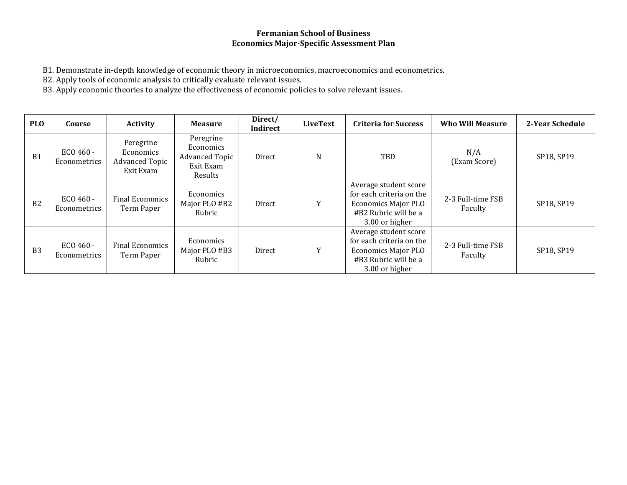## **Fermanian School of Business Economics Major-Specific Assessment Plan**

B1. Demonstrate in-depth knowledge of economic theory in microeconomics, macroeconomics and econometrics.

B2. Apply tools of economic analysis to critically evaluate relevant issues.

B3. Apply economic theories to analyze the effectiveness of economic policies to solve relevant issues.

| <b>PLO</b>     | Course                    | <b>Activity</b>                                              | <b>Measure</b>                                                          | Direct/<br>Indirect | <b>LiveText</b> | <b>Criteria for Success</b>                                                                                               | <b>Who Will Measure</b>      | 2-Year Schedule |
|----------------|---------------------------|--------------------------------------------------------------|-------------------------------------------------------------------------|---------------------|-----------------|---------------------------------------------------------------------------------------------------------------------------|------------------------------|-----------------|
| <b>B1</b>      | ECO 460 -<br>Econometrics | Peregrine<br>Economics<br><b>Advanced Topic</b><br>Exit Exam | Peregrine<br>Economics<br><b>Advanced Topic</b><br>Exit Exam<br>Results | Direct              | N               | TBD                                                                                                                       | N/A<br>(Exam Score)          | SP18, SP19      |
| B2             | ECO 460 -<br>Econometrics | <b>Final Economics</b><br>Term Paper                         | Economics<br>Major PLO #B2<br>Rubric                                    | Direct              | Y               | Average student score<br>for each criteria on the<br><b>Economics Major PLO</b><br>#B2 Rubric will be a<br>3.00 or higher | 2-3 Full-time FSB<br>Faculty | SP18, SP19      |
| B <sub>3</sub> | ECO 460 -<br>Econometrics | <b>Final Economics</b><br>Term Paper                         | Economics<br>Major PLO #B3<br>Rubric                                    | Direct              | Y               | Average student score<br>for each criteria on the<br><b>Economics Major PLO</b><br>#B3 Rubric will be a<br>3.00 or higher | 2-3 Full-time FSB<br>Faculty | SP18, SP19      |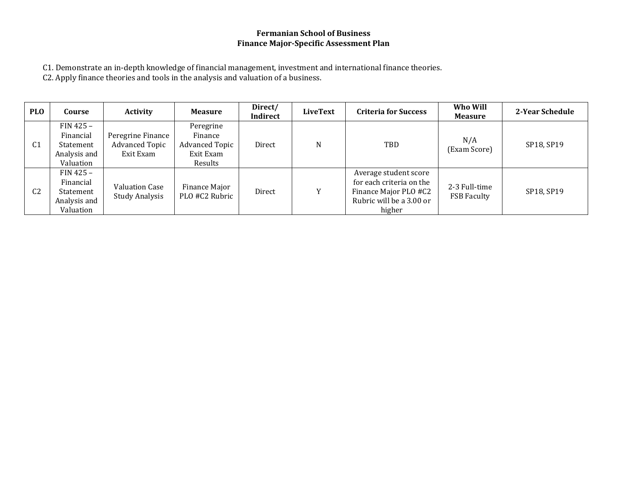# **Fermanian School of Business Finance Major-Specific Assessment Plan**

C1. Demonstrate an in-depth knowledge of financial management, investment and international finance theories.

C2. Apply finance theories and tools in the analysis and valuation of a business.

| <b>PLO</b>     | Course                                                             | Activity                                                | <b>Measure</b>                                                        | Direct/<br>Indirect | LiveText | <b>Criteria for Success</b>                                                                                      | Who Will<br><b>Measure</b>          | 2-Year Schedule |
|----------------|--------------------------------------------------------------------|---------------------------------------------------------|-----------------------------------------------------------------------|---------------------|----------|------------------------------------------------------------------------------------------------------------------|-------------------------------------|-----------------|
| C <sub>1</sub> | $FIN 425 -$<br>Financial<br>Statement<br>Analysis and<br>Valuation | Peregrine Finance<br><b>Advanced Topic</b><br>Exit Exam | Peregrine<br>Finance<br><b>Advanced Topic</b><br>Exit Exam<br>Results | Direct              | N        | TBD                                                                                                              | N/A<br>(Exam Score)                 | SP18, SP19      |
| C <sub>2</sub> | $FIN 425 -$<br>Financial<br>Statement<br>Analysis and<br>Valuation | Valuation Case<br><b>Study Analysis</b>                 | Finance Major<br>PLO #C2 Rubric                                       | Direct              | v        | Average student score<br>for each criteria on the<br>Finance Major PLO #C2<br>Rubric will be a 3.00 or<br>higher | 2-3 Full-time<br><b>FSB Faculty</b> | SP18, SP19      |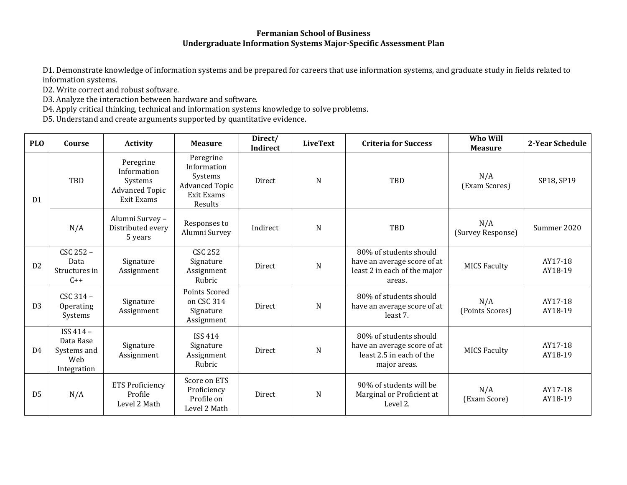#### **Fermanian School of Business Undergraduate Information Systems Major-Specific Assessment Plan**

D1. Demonstrate knowledge of information systems and be prepared for careers that use information systems, and graduate study in fields related to information systems.

D2. Write correct and robust software.

D3. Analyze the interaction between hardware and software.

D4. Apply critical thinking, technical and information systems knowledge to solve problems.

D5. Understand and create arguments supported by quantitative evidence.

| <b>PLO</b>     | Course                                                      | <b>Activity</b>                                                            | <b>Measure</b>                                                                        | Direct/<br>Indirect | <b>LiveText</b> | <b>Criteria for Success</b>                                                                       | Who Will<br><b>Measure</b> | 2-Year Schedule    |
|----------------|-------------------------------------------------------------|----------------------------------------------------------------------------|---------------------------------------------------------------------------------------|---------------------|-----------------|---------------------------------------------------------------------------------------------------|----------------------------|--------------------|
| D <sub>1</sub> | TBD                                                         | Peregrine<br>Information<br>Systems<br><b>Advanced Topic</b><br>Exit Exams | Peregrine<br>Information<br>Systems<br><b>Advanced Topic</b><br>Exit Exams<br>Results | <b>Direct</b>       | N               | TBD                                                                                               | N/A<br>(Exam Scores)       | SP18, SP19         |
|                | N/A                                                         | Alumni Survey -<br>Distributed every<br>5 years                            | Responses to<br>Alumni Survey                                                         | Indirect            | N               | TBD                                                                                               | N/A<br>(Survey Response)   | Summer 2020        |
| D <sub>2</sub> | CSC 252 -<br>Data<br>Structures in<br>$C++$                 | Signature<br>Assignment                                                    | <b>CSC 252</b><br>Signature<br>Assignment<br>Rubric                                   | Direct              | N               | 80% of students should<br>have an average score of at<br>least 2 in each of the major<br>areas.   | <b>MICS Faculty</b>        | AY17-18<br>AY18-19 |
| D <sub>3</sub> | CSC 314 -<br>Operating<br>Systems                           | Signature<br>Assignment                                                    | Points Scored<br>on CSC 314<br>Signature<br>Assignment                                | <b>Direct</b>       | N               | 80% of students should<br>have an average score of at<br>least 7.                                 | N/A<br>(Points Scores)     | AY17-18<br>AY18-19 |
| D <sub>4</sub> | ISS 414 -<br>Data Base<br>Systems and<br>Web<br>Integration | Signature<br>Assignment                                                    | <b>ISS 414</b><br>Signature<br>Assignment<br>Rubric                                   | <b>Direct</b>       | N               | 80% of students should<br>have an average score of at<br>least 2.5 in each of the<br>major areas. | <b>MICS Faculty</b>        | AY17-18<br>AY18-19 |
| D <sub>5</sub> | N/A                                                         | <b>ETS Proficiency</b><br>Profile<br>Level 2 Math                          | Score on ETS<br>Proficiency<br>Profile on<br>Level 2 Math                             | Direct              | N               | 90% of students will be<br>Marginal or Proficient at<br>Level 2.                                  | N/A<br>(Exam Score)        | AY17-18<br>AY18-19 |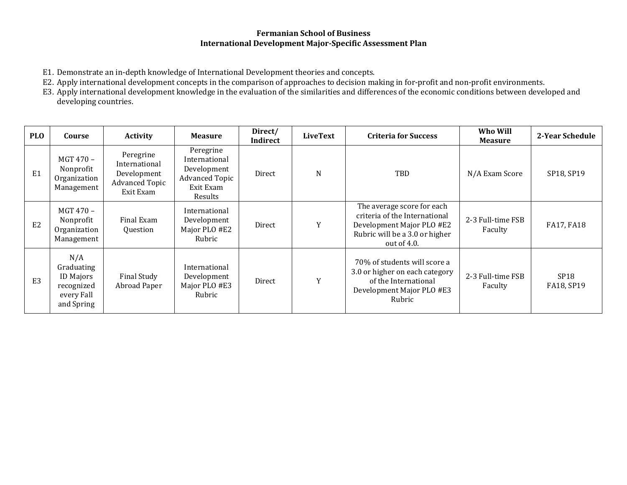#### **Fermanian School of Business International Development Major-Specific Assessment Plan**

- E1. Demonstrate an in-depth knowledge of International Development theories and concepts.
- E2. Apply international development concepts in the comparison of approaches to decision making in for-profit and non-profit environments.

E3. Apply international development knowledge in the evaluation of the similarities and differences of the economic conditions between developed and developing countries.

| <b>PLO</b>     | Course                                                                          | <b>Activity</b>                                                                 | <b>Measure</b>                                                                             | Direct/<br>Indirect | <b>LiveText</b> | <b>Criteria for Success</b>                                                                                                                  | Who Will<br><b>Measure</b>   | 2-Year Schedule                |
|----------------|---------------------------------------------------------------------------------|---------------------------------------------------------------------------------|--------------------------------------------------------------------------------------------|---------------------|-----------------|----------------------------------------------------------------------------------------------------------------------------------------------|------------------------------|--------------------------------|
| E1             | MGT 470 -<br>Nonprofit<br>Organization<br>Management                            | Peregrine<br>International<br>Development<br><b>Advanced Topic</b><br>Exit Exam | Peregrine<br>International<br>Development<br><b>Advanced Topic</b><br>Exit Exam<br>Results | Direct              | N               | TBD                                                                                                                                          | N/A Exam Score               | SP18, SP19                     |
| E <sub>2</sub> | MGT 470 -<br>Nonprofit<br>Organization<br>Management                            | Final Exam<br>Question                                                          | International<br>Development<br>Major PLO #E2<br>Rubric                                    | Direct              | Y               | The average score for each<br>criteria of the International<br>Development Major PLO #E2<br>Rubric will be a 3.0 or higher<br>out of $4.0$ . | 2-3 Full-time FSB<br>Faculty | FA17, FA18                     |
| E <sub>3</sub> | N/A<br>Graduating<br><b>ID Majors</b><br>recognized<br>every Fall<br>and Spring | Final Study<br>Abroad Paper                                                     | International<br>Development<br>Major PLO #E3<br>Rubric                                    | Direct              | Y               | 70% of students will score a<br>3.0 or higher on each category<br>of the International<br>Development Major PLO #E3<br>Rubric                | 2-3 Full-time FSB<br>Faculty | SP <sub>18</sub><br>FA18, SP19 |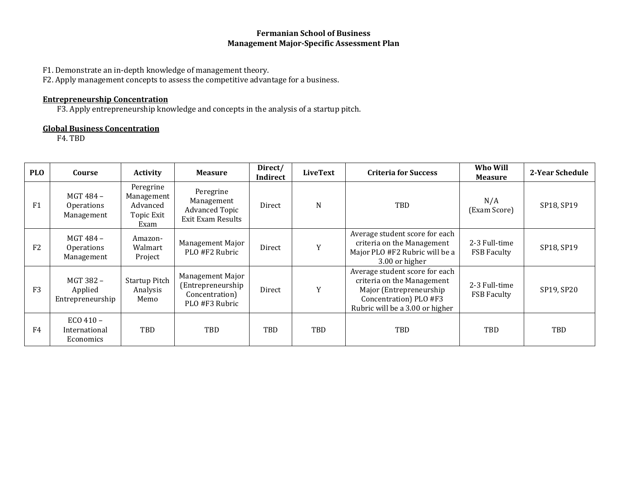## **Fermanian School of Business Management Major-Specific Assessment Plan**

F1. Demonstrate an in-depth knowledge of management theory.

F2. Apply management concepts to assess the competitive advantage for a business.

## **Entrepreneurship Concentration**

F3. Apply entrepreneurship knowledge and concepts in the analysis of a startup pitch.

## **Global Business Concentration**

F4. TBD

| <b>PLO</b>     | Course                                         | <b>Activity</b>                                           | <b>Measure</b>                                                            | Direct/<br>Indirect | <b>LiveText</b> | <b>Criteria for Success</b>                                                                                                                          | Who Will<br><b>Measure</b>          | 2-Year Schedule |
|----------------|------------------------------------------------|-----------------------------------------------------------|---------------------------------------------------------------------------|---------------------|-----------------|------------------------------------------------------------------------------------------------------------------------------------------------------|-------------------------------------|-----------------|
| F <sub>1</sub> | MGT 484 -<br><b>Operations</b><br>Management   | Peregrine<br>Management<br>Advanced<br>Topic Exit<br>Exam | Peregrine<br>Management<br><b>Advanced Topic</b><br>Exit Exam Results     | Direct              | N               | TBD                                                                                                                                                  | N/A<br>(Exam Score)                 | SP18, SP19      |
| F <sub>2</sub> | MGT 484 -<br><b>Operations</b><br>Management   | Amazon-<br>Walmart<br>Project                             | Management Major<br>PLO #F2 Rubric                                        | Direct              | Y               | Average student score for each<br>criteria on the Management<br>Major PLO #F2 Rubric will be a<br>3.00 or higher                                     | 2-3 Full-time<br><b>FSB Faculty</b> | SP18, SP19      |
| F <sub>3</sub> | MGT 382 -<br>Applied<br>Entrepreneurship       | <b>Startup Pitch</b><br>Analysis<br>Memo                  | Management Major<br>(Entrepreneurship<br>Concentration)<br>PLO #F3 Rubric | Direct              | Y               | Average student score for each<br>criteria on the Management<br>Major (Entrepreneurship<br>Concentration) PLO #F3<br>Rubric will be a 3.00 or higher | 2-3 Full-time<br><b>FSB Faculty</b> | SP19, SP20      |
| F4             | ECO 410 -<br>International<br><b>Economics</b> | TBD                                                       | TBD                                                                       | TBD                 | <b>TBD</b>      | <b>TBD</b>                                                                                                                                           | TBD                                 | TBD             |